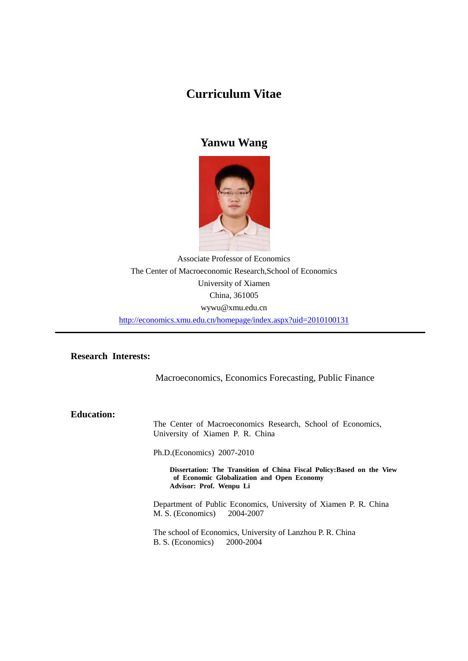# **Curriculum Vitae**

# **Yanwu Wang**



Associate Professor of Economics The Center of Macroeconomic Research,School of Economics University of Xiamen China, 361005 wywu@xmu.edu.cn <http://economics.xmu.edu.cn/homepage/index.aspx?uid=2010100131>

## **Research Interests:**

Macroeconomics, Economics Forecasting, Public Finance

**Education:** 

The Center of Macroeconomics Research, School of Economics, University of Xiamen P. R. China

Ph.D.(Economics) 2007-2010

**Dissertation: The Transition of China Fiscal Policy:Based on the View of Economic Globalization and Open Economy Advisor: Prof. Wenpu Li**

Department of Public Economics, University of Xiamen P. R. China M. S. (Economics) 2004-2007

The school of Economics, University of Lanzhou P. R. China B. S. (Economics) 2000-2004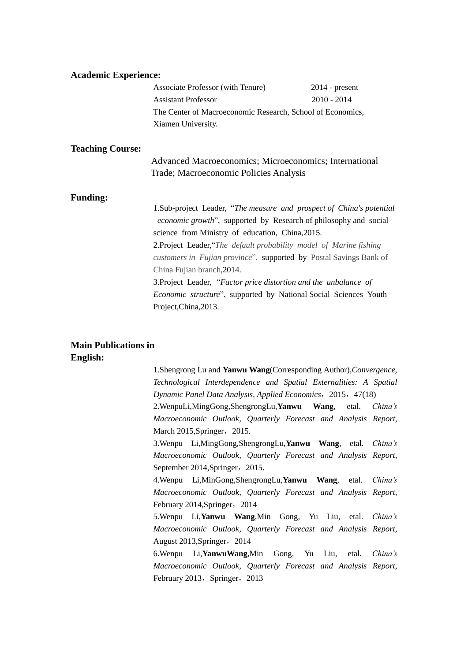#### **Academic Experience:**

| Associate Professor (with Tenure)                          | $2014$ - present |  |
|------------------------------------------------------------|------------------|--|
| <b>Assistant Professor</b>                                 | $2010 - 2014$    |  |
| The Center of Macroeconomic Research, School of Economics, |                  |  |
| Xiamen University.                                         |                  |  |

#### **Teaching Course:**

| Advanced Macroeconomics; Microeconomics; International |
|--------------------------------------------------------|
| Trade; Macroeconomic Policies Analysis                 |

#### **Funding:**

1.Sub-project Leader, "*The measure and prospect of China's potential economic growth*", supported by Research of philosophy and social science from Ministry of education, China,2015. 2.Project Leader,"*The default probability model of Marine fishing customers in Fujian province*", supported by Postal Savings Bank of China Fujian branch,2014. 3.Project Leader, *"Factor price distortion and the unbalance of Economic structure*", supported by National Social Sciences Youth Project,China,2013.

#### **Main Publications in English:**

1.Shengrong Lu and **Yanwu Wang**(Corresponding Author),*Convergence, Technological Interdependence and Spatial Externalities: A Spatial Dynamic Panel Data Analysis*, *Applied Economics*,2015,47(18)

2.WenpuLi,MingGong,ShengrongLu,**Yanwu Wang**, etal. *China's Macroeconomic Outlook, Quarterly Forecast and Analysis Report*, March 2015, Springer, 2015.

3.Wenpu Li,MingGong,ShengrongLu,**Yanwu Wang**, etal. *China's Macroeconomic Outlook, Quarterly Forecast and Analysis Report*, September 2014, Springer, 2015.

4.Wenpu Li,MinGong,ShengrongLu,**Yanwu Wang**, etal. *China's Macroeconomic Outlook, Quarterly Forecast and Analysis Report*, February 2014, Springer, 2014

5.Wenpu Li,**Yanwu Wang**,Min Gong, Yu Liu, etal. *China's Macroeconomic Outlook, Quarterly Forecast and Analysis Report,* August 2013, Springer, 2014

6.Wenpu Li,**YanwuWang**,Min Gong, Yu Liu, etal. *China's Macroeconomic Outlook, Quarterly Forecast and Analysis Report*, February 2013, Springer, 2013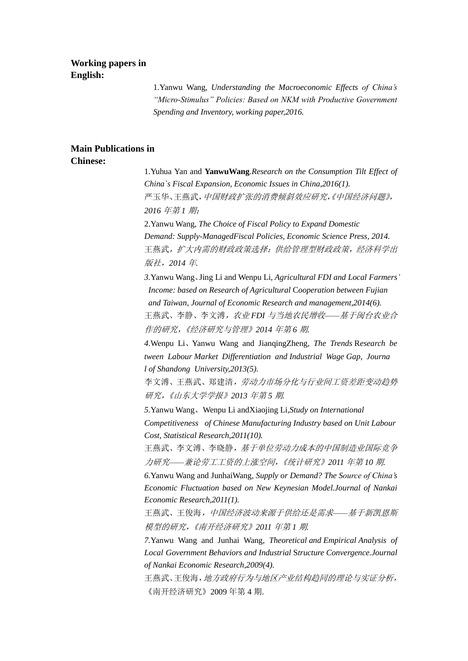### **Working papers in English:**

1.Yanwu Wang, *Understanding the Macroeconomic Effects of China's "Micro-Stimulus" Policies: Based on NKM with Productive Government Spending and Inventory, working paper,2016.*

# **Main Publications in**

## **Chinese:**

1.Yuhua Yan and **YanwuWang***.Research on the Consumption Tilt Effect of China`s Fiscal Expansion, Economic Issues in China,2016(1).* 严玉华、王燕武,中国财政扩张的消费倾斜效应研究,《中国经济问题》, *2016* 年第 *1* 期; 2.Yanwu Wang, *The Choice of Fiscal Policy to Expand Domestic Demand: Supply-ManagedFiscal Policies, Economic Science Press, 2014.*

王燕武,扩大内需的财政政策选择:供给管理型财政政策,经济科学出 版社,*2014* 年*.*

*3.*Yanwu Wang、Jing Li and Wenpu Li*, Agricultural FDI and Local Farmers' Income: based on Research of Agricultural* C*ooperation between Fujian and Taiwan, Journal of Economic Research and management,2014(6).* 王燕武、李静、李文溥,农业 *FDI* 与当地农民增收*——*基于闽台农业合 作的研究,《经济研究与管理》*2014* 年第 *6* 期*.*

*4.*Wenpu Li、Yanwu Wang and JianqingZheng*, The Trends* R*esearch be tween Labour Market Differentiation and Industrial Wage Gap*, *Journa l of Shandong University,2013(5).*

李文溥、王燕武、郑建清,劳动力市场分化与行业间工资差距变动趋势 研究,《山东大学学报》*2013* 年第 *5* 期*.*

*5.*Yanwu Wang、Wenpu Li andXiaojing Li*,Study on International Competitiveness of Chinese Manufacturing Industry based on Unit Labour Cost, Statistical Research,2011(10).*

王燕武、李文溥、李晓静*,基于单位劳动力成本的中国制造业国际竞争* 力研究*——*兼论劳工工资的上涨空间,《统计研究》*2011* 年第 *10* 期*.*

*6.*Yanwu Wang and JunhaiWang*, Supply or Demand? The Source of China's Economic Fluctuation based on New Keynesian Model.Journal of Nankai Economic Research,2011(1).*

王燕武、王俊海,中国经济波动来源于供给还是需求*——*基于新凯恩斯 模型的研究,《南开经济研究》*2011* 年第 *1* 期*.*

*7.*Yanwu Wang and Junhai Wang*, Theoretical and Empirical Analysis of Local Government Behaviors and Industrial* S*tructure Convergence.Journal of Nankai Economic Research,2009(4).*

王燕武、王俊海,地方政府行为与地区产业结构趋同的理论与实证分析, 《南开经济研究》2009 年第 4 期.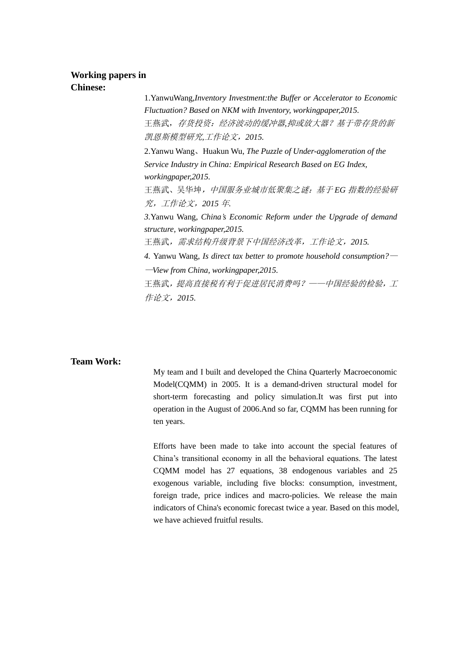# **Working papers in**

**Chinese:**

1.YanwuWang,*Inventory Investment:the Buffer or Accelerator to Economic Fluctuation? Based on NKM with Inventory, workingpaper,2015.* 王燕武,存货投资:经济波动的缓冲器*,*抑或放大器?基于带存货的新 凯恩斯模型研究*,*工作论文,*2015.*

2.Yanwu Wang、Huakun Wu, *The Puzzle of Under-agglomeration of the Service Industry in China: Empirical Research Based on EG Index, workingpaper,2015.*

王燕武、吴华坤,中国服务业城市低聚集之谜:基于 *EG* 指数的经验研 究,工作论文,*2015* 年*.*

*3.*Yanwu Wang*, China's Economic Reform under the Upgrade of demand structure, workingpaper,2015.*

王燕武,需求结构升级背景下中国经济改革,工作论文,*2015.*

*4.* Yanwu Wang, *Is direct tax better to promote household consumption?*— —*View from China, workingpaper,2015.*

王燕武,提高直接税有利于促进居民消费吗?——中国经验的检验,工 作论文,*2015.*

#### **Team Work:**

My team and I built and developed the China Quarterly Macroeconomic Model(CQMM) in 2005. It is a demand-driven structural model for short-term forecasting and policy simulation.It was first put into operation in the August of 2006.And so far, CQMM has been running for ten years.

Efforts have been made to take into account the special features of China's transitional economy in all the behavioral equations. The latest CQMM model has 27 equations, 38 endogenous variables and 25 exogenous variable, including five blocks: consumption, investment, foreign trade, price indices and macro-policies. We release the main indicators of China's economic forecast twice a year. Based on this model, we have achieved fruitful results.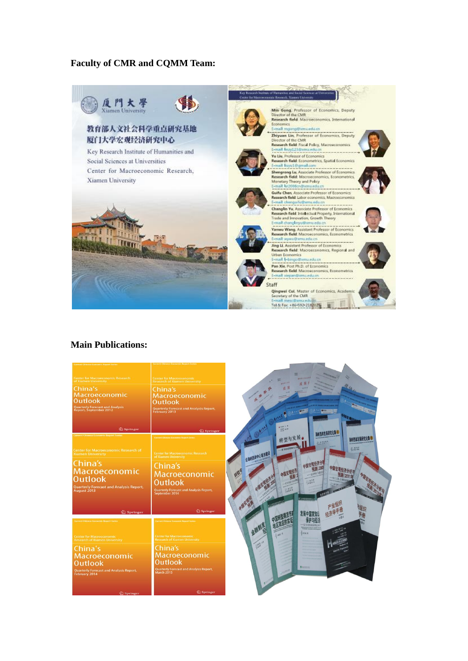### **Faculty of CMR and CQMM Team:**



#### **Main Publications:**

| <b>Center for Macroeconomic Research</b><br>of Xiamen University<br>China's<br>Macroeconomic<br><b>Outlook</b><br><b>Quarterly Forecast and Analysis<br/>Report, September 2012</b><br><b>2</b> Springer                                                              | <b>Center for Macroeconomic</b><br><b>Research of Xiamen University</b><br>China's<br>Macroeconomic<br><b>Outlook</b><br>Quarterly Forecast and Analysis Report,<br>February 2013<br><b>2</b> Springer                                                          | s<br><b>ARRIVE</b>                                                                                                                                                                                                                     |
|-----------------------------------------------------------------------------------------------------------------------------------------------------------------------------------------------------------------------------------------------------------------------|-----------------------------------------------------------------------------------------------------------------------------------------------------------------------------------------------------------------------------------------------------------------|----------------------------------------------------------------------------------------------------------------------------------------------------------------------------------------------------------------------------------------|
| <b>Current Chinese Economic Report Series</b><br><b>Center for Macroeconomic Research of</b><br><b>Xiamen University</b><br>China's<br>Macroeconomic<br><b>Outlook</b><br><b>Quarterly Forecast and Analysis Report,</b><br>August 2013<br>$\mathcal{D}$ Springer     | <b>Current Chinese Economic Report Series</b><br><b>Center for Macroeconomic Research</b><br>of Xiamen University<br>China's<br>Macroeconomic<br><b>Outlook</b><br><b>Quarterly Forecast and Analysis Report,</b><br>September 2014<br><b><i> </i></b> Springer | 海峡西岸发展研究论集<br>转型与发展。<br>温快而逆发展研究论<br>$\frac{11.4/424.8.8}{200}$<br>$-$ ETHEREES<br><b>LAIRING</b><br>公海峡西洋中心城市建设、<br><b>ASENSINE</b><br>一年工工会、企业的<br>上記す<br>$\frac{1}{2} \frac{1}{16} \frac{1}{3} \frac{1}{6} \frac{1}{6}$<br>27大学宏观研究 |
| <b>Current Chinese Economic Report Series</b><br><b>Center for Macroeconomic</b><br><b>Research of Xiamen University</b><br>China's<br>Macroeconomic<br><b>Outlook</b><br><b>Quarterly Forecast and Analysis Report,</b><br><b>February 2014</b><br><b>2</b> Springer | orrent Chinese Economic Report Series<br><b>Center for Macroeconomic</b><br><b>Research of Xiamen University</b><br>China's<br><b>Macroeconomic</b><br><b>Outlook</b><br><b>Quarterly Forecast and Analysis Report,<br/>March 2015</b><br><b>2</b> Springer     | 一群技能在联邦海运体<br><b>Smithstand Pas</b><br>anx/x<br>$10^{12}$<br>Bernauen                                                                                                                                                                  |